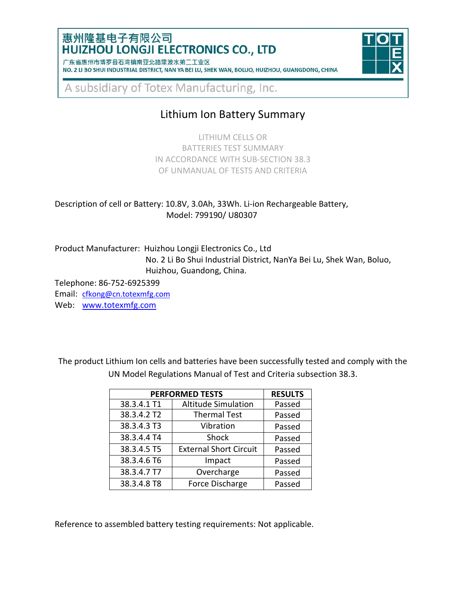### 惠州隆基电子有限公司 **HUIZHOU LONGJI ELECTRONICS CO., LTD**

| / 朱省惠州市博岁县石湾镇南业北路里波水弟___业区                                                                      |  |  |  |  |  |  |  |  |
|-------------------------------------------------------------------------------------------------|--|--|--|--|--|--|--|--|
| NO. 2 LI BO SHUI INDUSTRIAL DISTRICT, NAN YA BEI LU, SHEK WAN, BOLUO, HUIZHOU, GUANGDONG, CHINA |  |  |  |  |  |  |  |  |



A subsidiary of Totex Manufacturing, Inc.

# Lithium Ion Battery Summary

LITHIUM CELLS OR BATTERIES TEST SUMMARY IN ACCORDANCE WITH SUB-SECTION 38.3 OF UNMANUAL OF TESTS AND CRITERIA

Description of cell or Battery: 10.8V, 3.0Ah, 33Wh. Li-ion Rechargeable Battery, Model: 799190/ U80307

Product Manufacturer: Huizhou Longji Electronics Co., Ltd No. 2 Li Bo Shui Industrial District, NanYa Bei Lu, Shek Wan, Boluo, Huizhou, Guandong, China.

Telephone: 86-752-6925399

Email: [cfkong@cn.totexmfg.com](mailto:cfkong@cn.totexmfg.com)

Web: [www.totexmfg.com](http://www.totexmfg.com/)

The product Lithium Ion cells and batteries have been successfully tested and comply with the UN Model Regulations Manual of Test and Criteria subsection 38.3.

| <b>PERFORMED TESTS</b> | <b>RESULTS</b>                |        |
|------------------------|-------------------------------|--------|
| 38.3.4.1 T1            | <b>Altitude Simulation</b>    | Passed |
| 38.3.4.2 T2            | <b>Thermal Test</b>           | Passed |
| 38.3.4.3 T3            | Vibration                     | Passed |
| 38.3.4.4 T4            | Shock                         | Passed |
| 38.3.4.5 T5            | <b>External Short Circuit</b> | Passed |
| 38.3.4.6 T6            | Impact                        | Passed |
| 38.3.4.7 T7            | Overcharge                    | Passed |
| 38.3.4.8 T8            | Force Discharge               | Passed |

Reference to assembled battery testing requirements: Not applicable.